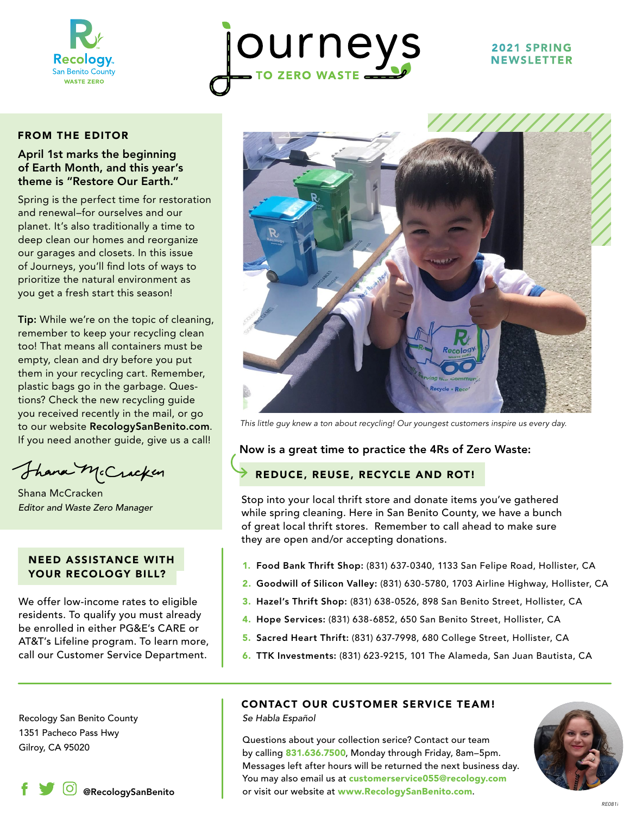

# ourneys

#### 2021 SPRING NEWSLETTER

#### FROM THE EDITOR

#### April 1st marks the beginning of Earth Month, and this year's theme is "Restore Our Earth."

Spring is the perfect time for restoration and renewal–for ourselves and our planet. It's also traditionally a time to deep clean our homes and reorganize our garages and closets. In this issue of Journeys, you'll find lots of ways to prioritize the natural environment as you get a fresh start this season!

Tip: While we're on the topic of cleaning, remember to keep your recycling clean too! That means all containers must be empty, clean and dry before you put them in your recycling cart. Remember, plastic bags go in the garbage. Questions? Check the new recycling guide you received recently in the mail, or go to our website RecologySanBenito.com. If you need another guide, give us a call!

Thank McCracken

*Editor and Waste Zero Manager* Shana McCracken

#### NEED ASSISTANCE WITH YOUR RECOLOGY BILL?

We offer low-income rates to eligible residents. To qualify you must already be enrolled in either PG&E's CARE or AT&T's Lifeline program. To learn more, call our Customer Service Department.



*This little guy knew a ton about recycling! Our youngest customers inspire us every day.*

#### Now is a great time to practice the 4Rs of Zero Waste:

#### REDUCE, REUSE, RECYCLE AND ROT!

Stop into your local thrift store and donate items you've gathered while spring cleaning. Here in San Benito County, we have a bunch of great local thrift stores. Remember to call ahead to make sure they are open and/or accepting donations.

- 1. Food Bank Thrift Shop: (831) 637-0340, 1133 San Felipe Road, Hollister, CA
- 2. Goodwill of Silicon Valley: (831) 630-5780, 1703 Airline Highway, Hollister, CA
- 3. Hazel's Thrift Shop: (831) 638-0526, 898 San Benito Street, Hollister, CA
- 4. Hope Services: (831) 638-6852, 650 San Benito Street, Hollister, CA
- 5. Sacred Heart Thrift: (831) 637-7998, 680 College Street, Hollister, CA
- 6. TTK Investments: (831) 623-9215, 101 The Alameda, San Juan Bautista, CA

Recology San Benito County 1351 Pacheco Pass Hwy

#### CONTACT OUR CUSTOMER SERVICE TEAM!

*Se Habla Español*

Gilroy, CA 95020 Gilroy, CA 95020 Cuestions about your collection serice? Contact our team by calling 831.636.7500, Monday through Friday, 8am–5pm. Messages left after hours will be returned the next business day. You may also email us at customerservice055@recology.com  $\boxed{\circ}$  @RecologySanBenito  $\vert$  or visit our website at www.RecologySanBenito.com.

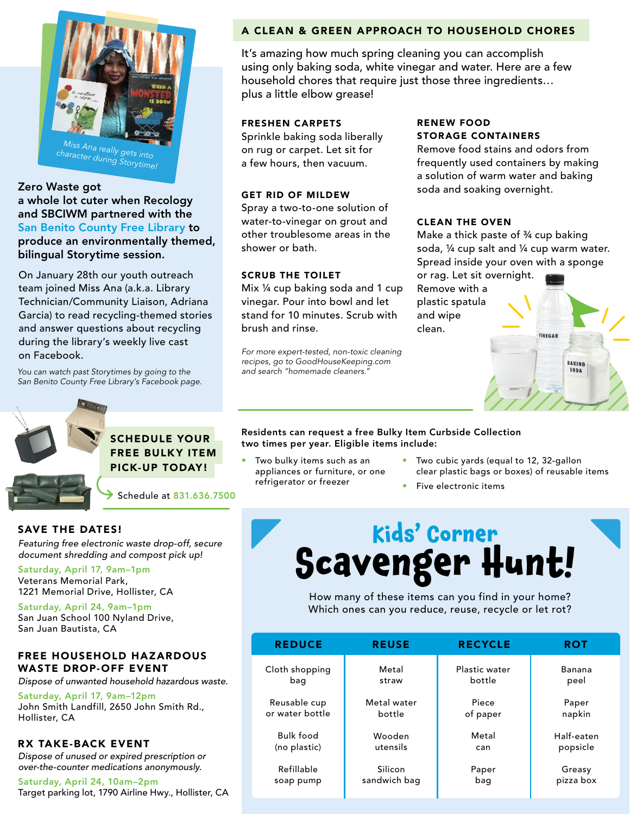

#### Zero Waste got a whole lot cuter when Recology and SBCIWM partnered with the San Benito County Free Library to produce an environmentally themed, bilingual Storytime session.

On January 28th our youth outreach team joined Miss Ana (a.k.a. Library Technician/Community Liaison, Adriana Garcia) to read recycling-themed stories and answer questions about recycling during the library's weekly live cast on Facebook.

*You can watch past Storytimes by going to the San Benito County Free Library's Facebook page.* 



#### SCHEDULE YOUR FREE BULKY ITEM PICK-UP TODAY!

Schedule at 831.636.7500

#### SAVE THE DATES!

*Featuring free electronic waste drop-off, secure document shredding and compost pick up!* 

Saturday, April 17, 9am–1pm Veterans Memorial Park, 1221 Memorial Drive, Hollister, CA

Saturday, April 24, 9am–1pm San Juan School 100 Nyland Drive, San Juan Bautista, CA

#### FREE HOUSEHOLD HAZARDOUS WASTE DROP-OFF EVENT

*Dispose of unwanted household hazardous waste.*

Saturday, April 17, 9am–12pm John Smith Landfill, 2650 John Smith Rd., Hollister, CA

#### RX TAKE-BACK EVENT

*Dispose of unused or expired prescription or over-the-counter medications anonymously.* 

Saturday, April 24, 10am–2pm Target parking lot, 1790 Airline Hwy., Hollister, CA

#### A CLEAN & GREEN APPROACH TO HOUSEHOLD CHORES

It's amazing how much spring cleaning you can accomplish using only baking soda, white vinegar and water. Here are a few household chores that require just those three ingredients… plus a little elbow grease!

#### FRESHEN CARPETS

Sprinkle baking soda liberally on rug or carpet. Let sit for a few hours, then vacuum.

#### GET RID OF MILDEW

Spray a two-to-one solution of water-to-vinegar on grout and other troublesome areas in the shower or bath.

#### SCRUB THE TOILET

Mix ¼ cup baking soda and 1 cup vinegar. Pour into bowl and let stand for 10 minutes. Scrub with brush and rinse.

*For more expert-tested, non-toxic cleaning recipes, go to GoodHouseKeeping.com and search "homemade cleaners."* 

#### RENEW FOOD STORAGE CONTAINERS

Remove food stains and odors from frequently used containers by making a solution of warm water and baking soda and soaking overnight.

#### CLEAN THE OVEN

Make a thick paste of ¾ cup baking soda, ¼ cup salt and ¼ cup warm water. Spread inside your oven with a sponge or rag. Let sit overnight. Remove with a plastic spatula and wipe clean. VINEGAR **BAKING** SODA

#### Residents can request a free Bulky Item Curbside Collection two times per year. Eligible items include:

- Two bulky items such as an appliances or furniture, or one refrigerator or freezer
- Two cubic yards (equal to 12, 32-gallon clear plastic bags or boxes) of reusable items
- Five electronic items

### **Kids' Corner Scavenger Hunt!**

How many of these items can you find in your home? Which ones can you reduce, reuse, recycle or let rot?

| <b>REDUCE</b>    | <b>REUSE</b> | <b>RECYCLE</b> | <b>ROT</b> |
|------------------|--------------|----------------|------------|
| Cloth shopping   | Metal        | Plastic water  | Banana     |
| bag              | straw        | bottle         | peel       |
| Reusable cup     | Metal water  | Piece          | Paper      |
| or water bottle  | bottle       | of paper       | napkin     |
| <b>Bulk food</b> | Wooden       | Metal          | Half-eaten |
| (no plastic)     | utensils     | can            | popsicle   |
| Refillable       | Silicon      | Paper          | Greasy     |
| soap pump        | sandwich bag | bag            | pizza box  |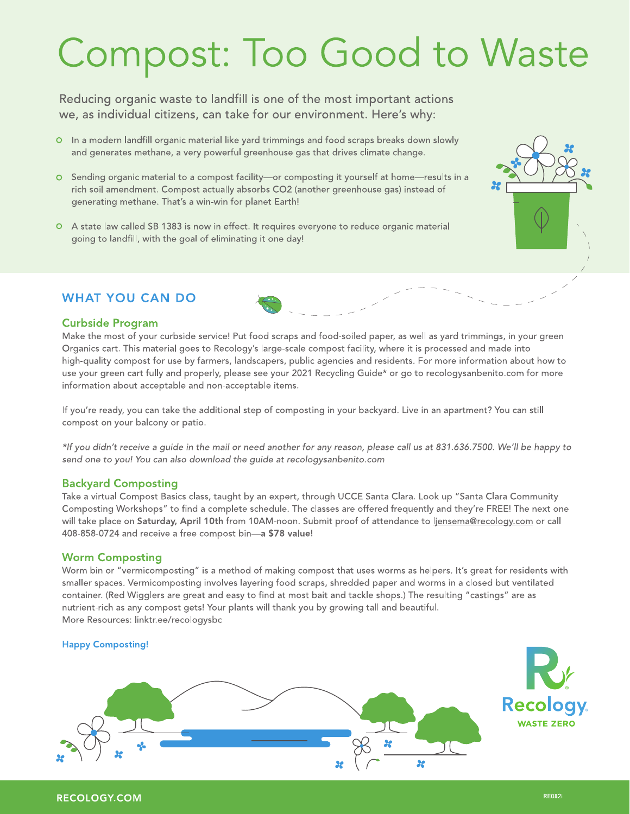## Compost: Too Good to Waste

Reducing organic waste to landfill is one of the most important actions we, as individual citizens, can take for our environment. Here's why:

- O In a modern landfill organic material like yard trimmings and food scraps breaks down slowly and generates methane, a very powerful greenhouse gas that drives climate change.
- O Sending organic material to a compost facility-or composting it yourself at home-results in a rich soil amendment. Compost actually absorbs CO2 (another greenhouse gas) instead of generating methane. That's a win-win for planet Earth!
- O A state law called SB 1383 is now in effect. It requires everyone to reduce organic material going to landfill, with the goal of eliminating it one day!

#### **WHAT YOU CAN DO**

#### **Curbside Program**

Make the most of your curbside service! Put food scraps and food-soiled paper, as well as yard trimmings, in your green Organics cart. This material goes to Recology's large-scale compost facility, where it is processed and made into high-quality compost for use by farmers, landscapers, public agencies and residents. For more information about how to use your green cart fully and properly, please see your 2021 Recycling Guide\* or go to recologysanbenito.com for more information about acceptable and non-acceptable items.

If you're ready, you can take the additional step of composting in your backyard. Live in an apartment? You can still compost on your balcony or patio.

\*If you didn't receive a guide in the mail or need another for any reason, please call us at 831.636.7500. We'll be happy to send one to you! You can also download the quide at recologysanbenito.com

#### **Backyard Composting**

Take a virtual Compost Basics class, taught by an expert, through UCCE Santa Clara. Look up "Santa Clara Community Composting Workshops" to find a complete schedule. The classes are offered frequently and they're FREE! The next one will take place on Saturday, April 10th from 10AM-noon. Submit proof of attendance to liensema@recology.com or call 408-858-0724 and receive a free compost bin-a \$78 value!

#### **Worm Composting**

Worm bin or "vermicomposting" is a method of making compost that uses worms as helpers. It's great for residents with smaller spaces. Vermicomposting involves layering food scraps, shredded paper and worms in a closed but ventilated container. (Red Wigglers are great and easy to find at most bait and tackle shops.) The resulting "castings" are as nutrient-rich as any compost gets! Your plants will thank you by growing tall and beautiful. More Resources: linktr.ee/recologysbc

#### **Happy Composting!**